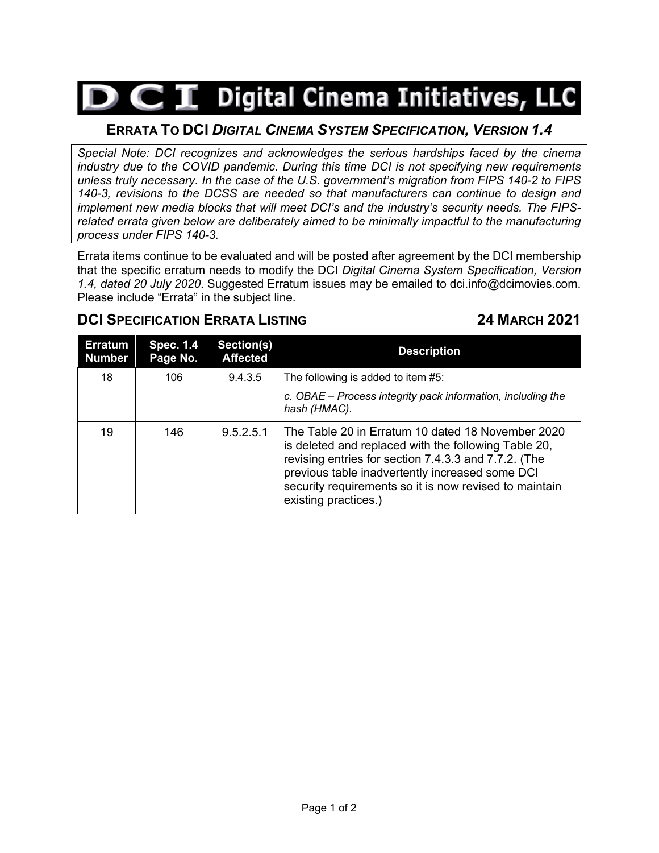# $\triangleright$   $\subset$   $\mathbf I$  Digital Cinema Initiatives, LLC

## **ERRATA TO DCI** *DIGITAL CINEMA SYSTEM SPECIFICATION, VERSION 1.4*

*Special Note: DCI recognizes and acknowledges the serious hardships faced by the cinema industry due to the COVID pandemic. During this time DCI is not specifying new requirements unless truly necessary. In the case of the U.S. government's migration from FIPS 140-2 to FIPS 140-3, revisions to the DCSS are needed so that manufacturers can continue to design and implement new media blocks that will meet DCI's and the industry's security needs. The FIPSrelated errata given below are deliberately aimed to be minimally impactful to the manufacturing process under FIPS 140-3.*

Errata items continue to be evaluated and will be posted after agreement by the DCI membership that the specific erratum needs to modify the DCI *Digital Cinema System Specification, Version 1.4, dated 20 July 2020*. Suggested Erratum issues may be emailed to dci.info@dcimovies.com. Please include "Errata" in the subject line.

### **DCI SPECIFICATION ERRATA LISTING 24 MARCH 2021**

| <b>Erratum</b><br><b>Number</b> | <b>Spec. 1.4</b><br>Page No. | Section(s)<br><b>Affected</b> | <b>Description</b>                                                                                                                                                                                                                                                                                     |
|---------------------------------|------------------------------|-------------------------------|--------------------------------------------------------------------------------------------------------------------------------------------------------------------------------------------------------------------------------------------------------------------------------------------------------|
| 18                              | 106                          | 9.4.3.5                       | The following is added to item #5:                                                                                                                                                                                                                                                                     |
|                                 |                              |                               | c. OBAE – Process integrity pack information, including the<br>hash (HMAC).                                                                                                                                                                                                                            |
| 19                              | 146                          | 9.5.2.5.1                     | The Table 20 in Erratum 10 dated 18 November 2020<br>is deleted and replaced with the following Table 20,<br>revising entries for section 7.4.3.3 and 7.7.2. (The<br>previous table inadvertently increased some DCI<br>security requirements so it is now revised to maintain<br>existing practices.) |